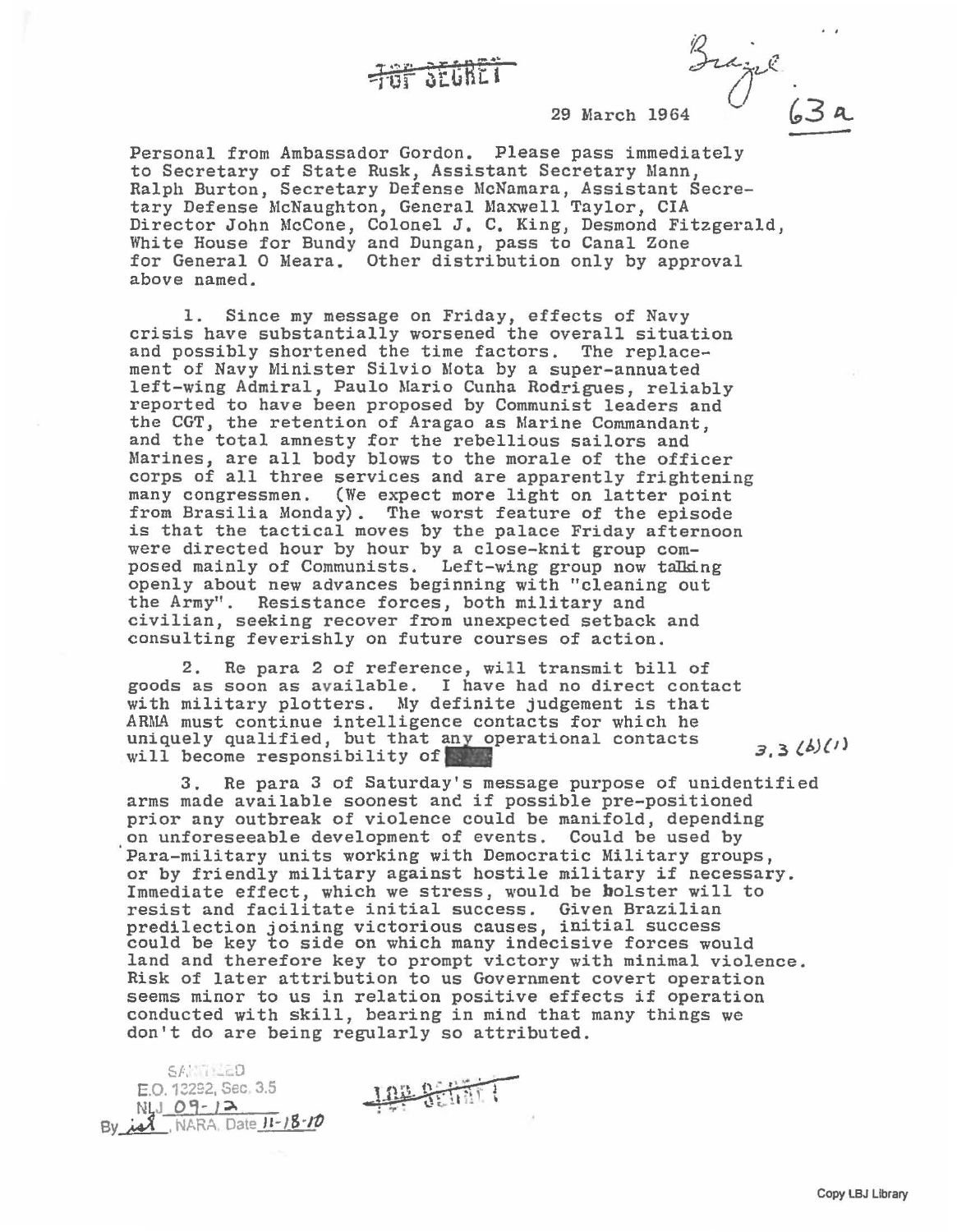

Grazil 29 March

a<br>-

Personal from Ambassador Gordon. Please pass immediately to Secretary of State Rusk, Assistant Secretary Mann, Ralph Burton, Secretary Defense McNamara, Assistant Secretary Defense McNaughton, General Maxwell Taylor, CIA Director John McCone, Colonel J. c. King, Desmond Fitzgerald, White House for Bundy and Dungan, pass to Canal Zone for General 0 Meara. Other distribution only by approval above named.

1. Since my message on Friday, effects of Navy crisis have substantially worsened the overall situation and possibly shortened the time factors. The replacement of Navy Minister Silvio Mota by a super-annuated left-wing Admiral, Paulo Mario Cunha Rodrigues, reliably reported to have been proposed by Communist leaders and the CGT, the retention of Aragao as Marine Commandant, and the total amnesty for the rebellious sailors and Marines, are all body blows to the morale of the officer corps of all three services and are apparently frightening many congressmen. (We expect more light on latter point from Brasilia Monday). The worst feature of the episode is that the tactical moves by the palace Friday afternoon were directed hour by hour by a close-knit group composed mainly of Communists. Left-wing group now talking openly about new advances beginning with "cleaning out the Army". Resistance forces, both military and civilian, seeking recover from unexpected setback and consulting feverishly on future courses of action.

2. Re para 2 of reference, will transmit bill of goods as soon as available. I have had no direct contact with military plotters. My definite judgement is that ARMA must continue intelligence contacts for which he uniquely qualified, but that any operational contacts *3 '* 3 *(.b){d*  will become responsibility of

3. Re para 3 of Saturday's message purpose of unidentified arms made available soonest and if possible pre-positioned prior any outbreak of violence could be manifold, depending on unforeseeable development of events. Could be used by 'para-military units working with Democratic Military groups, or by friendly military against hostile military if necessary. Immediate effect, which we stress, would be bolster will to resist and facilitate initial success. Given Brazilian predilection joining victorious causes, initial success could be key to side on which many indecisive forces would land and therefore key to prompt victory with minimal violence. Risk of later attribution to us Government covert operation seems minor to us in relation positive effects if operation conducted with skill, bearing in mind that many things we don't do are being regularly so attributed.

 $S$  $F$ ,  $D = D$ E.O. 12292, Sec 3.5  $N!_4J_09-12$ By  $id$ , NARA, Date  $11 - 18 - 10$ 

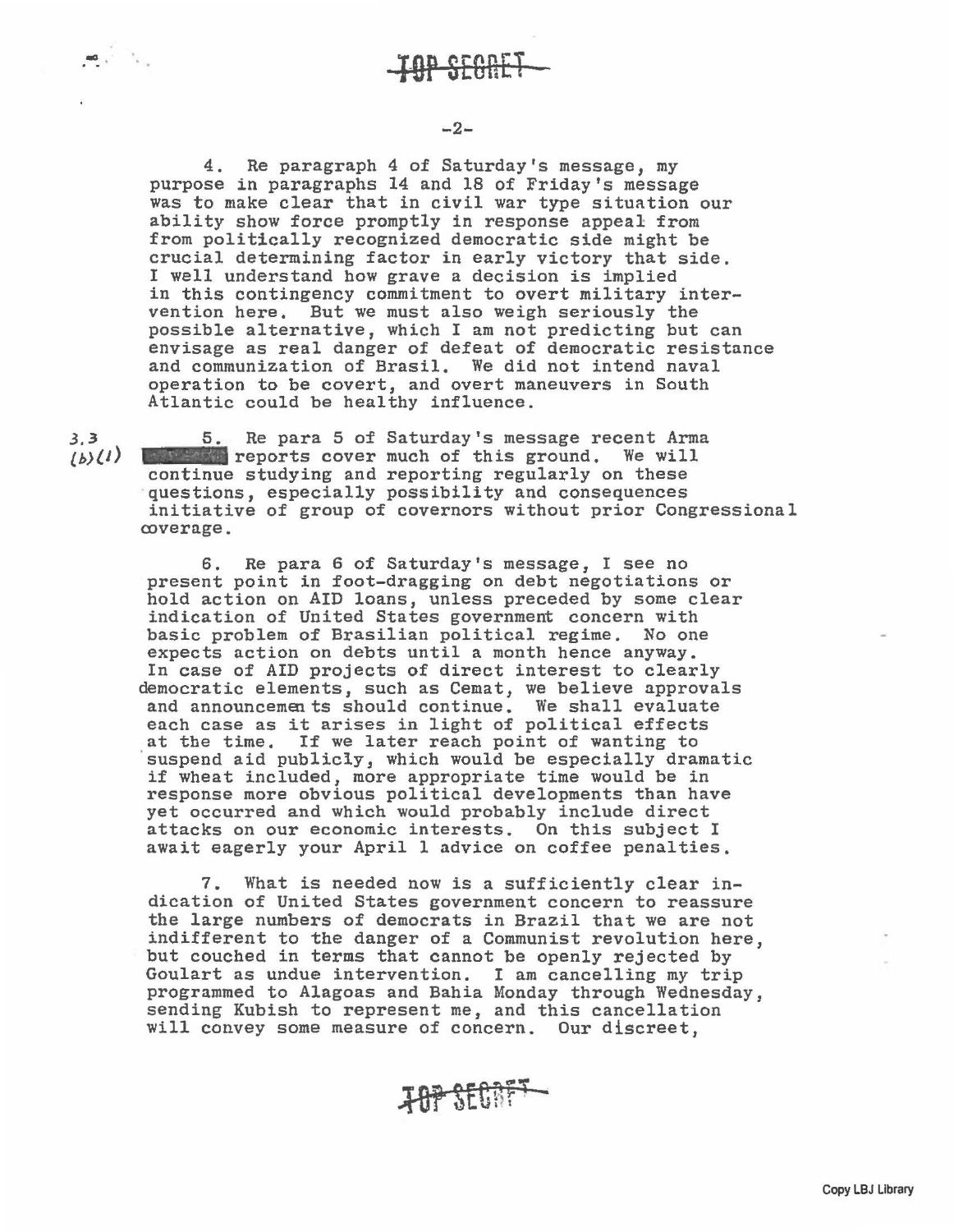-

4. Re paragraph 4 of Saturday's message, my purpose in paragraphs 14 and 18 of Friday's message was to make clear that in civil war type situation our ability show force promptly in response appeal from from politically recognized democratic side might be crucial determining factor in early victory that side. I well understand bow grave a decision is implied in this contingency commitment to overt military intervention here. But we must also weigh seriously the possible alternative, which I am not predicting but can envisage as real danger of defeat of democratic resistance and communization of Brasil. We did not intend naval operation to be covert, and overt maneuvers in South Atlantic could be healthy influence.

.3.3 *£b)lJ)*  5. Re para 5 of Saturday's message recent Arma **Justice of the second reports cover much of this ground. We will** continue studying and reporting regularly on these questions, especially possibility and consequences initiative of group of covernors without prior Congressional coverage.

6. Re para 6 of Saturday's message, I see no present point in foot-dragging on debt negotiations or hold action on AID loans, unless preceded by some clear indication of United States government concern with basic problem of Brasilian political regime. No one expects action on debts until a month hence anyway. In case of AID projects of direct interest to clearly democratic elements, such as Cemat, we believe approvals and announcements should continue. We shall evaluate each case as it arises in light of political effects<br>at the time. If we later reach point of wanting to suspend aid publicly, which would be especially dramatic if wheat included, more appropriate time would be in response more obvious political developments than have yet occurred and which would probably include direct attacks on our economic interests. On this subject I await eagerly your April 1 advice on coffee penalties.

7. What is needed now is a sufficiently clear indication of United States government concern to reassure the large numbers of democrats in Brazil that we are not indifferent to the danger of a Communist revolution here, but couched in terms that cannot be openly rejected by Goulart as undue intervention. I am cancelling my trip programmed to Alagoas and Bahia Monday through Wednesday, sending Kubish to represent me, and this cancellation will convey some measure of concern. Our discreet,

**707 SECRFT-**